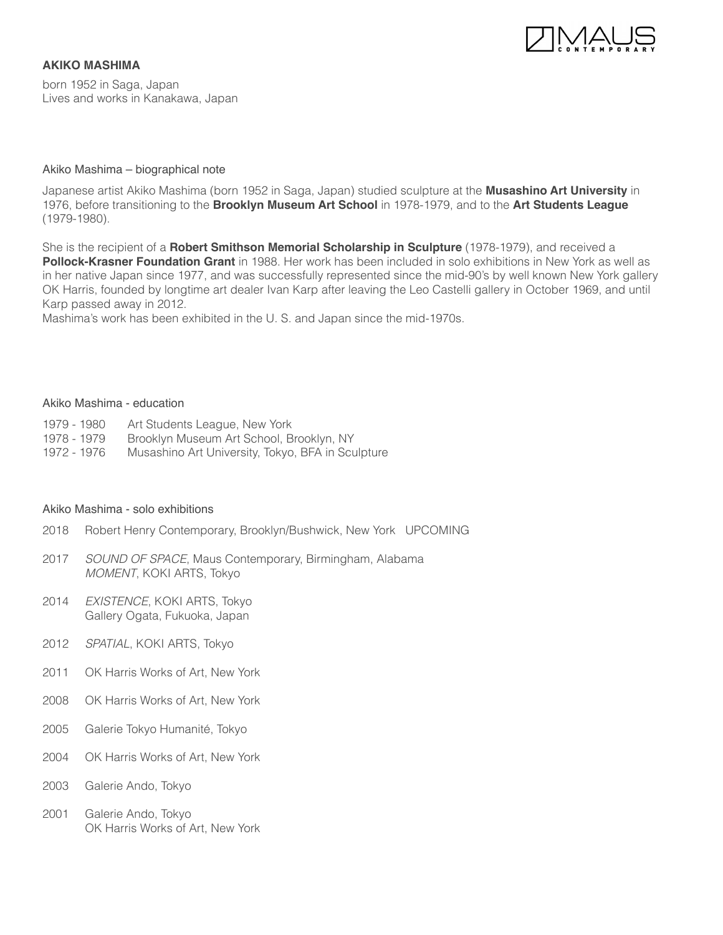

born 1952 in Saga, Japan Lives and works in Kanakawa, Japan

**AKIKO MASHIMA**

### Akiko Mashima – biographical note

Japanese artist Akiko Mashima (born 1952 in Saga, Japan) studied sculpture at the **Musashino Art University** in 1976, before transitioning to the **Brooklyn Museum Art School** in 1978-1979, and to the **Art Students League** (1979-1980).

She is the recipient of a **Robert Smithson Memorial Scholarship in Sculpture** (1978-1979), and received a **Pollock-Krasner Foundation Grant** in 1988. Her work has been included in solo exhibitions in New York as well as in her native Japan since 1977, and was successfully represented since the mid-90's by well known New York gallery OK Harris, founded by longtime art dealer Ivan Karp after leaving the Leo Castelli gallery in October 1969, and until Karp passed away in 2012.

Mashima's work has been exhibited in the U. S. and Japan since the mid-1970s.

#### Akiko Mashima - education

- 1979 1980 Art Students League, New York
- 1978 1979 Brooklyn Museum Art School, Brooklyn, NY
- 1972 1976 Musashino Art University, Tokyo, BFA in Sculpture

#### Akiko Mashima - solo exhibitions

- 2018 Robert Henry Contemporary, Brooklyn/Bushwick, New York UPCOMING
- 2017 *SOUND OF SPACE*, Maus Contemporary, Birmingham, Alabama *MOMENT*, KOKI ARTS, Tokyo
- 2014 *EXISTENCE*, KOKI ARTS, Tokyo Gallery Ogata, Fukuoka, Japan
- 2012 *SPATIAL*, KOKI ARTS, Tokyo
- 2011 OK Harris Works of Art, New York
- 2008 OK Harris Works of Art, New York
- 2005 Galerie Tokyo Humanité, Tokyo
- 2004 OK Harris Works of Art, New York
- 2003 Galerie Ando, Tokyo
- 2001 Galerie Ando, Tokyo OK Harris Works of Art, New York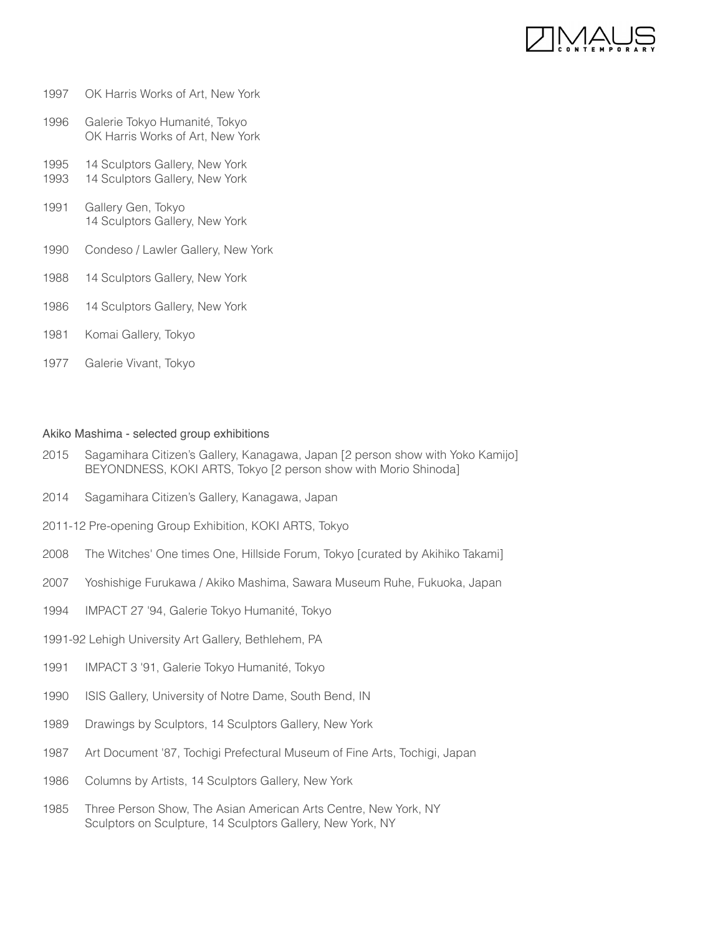

### 1997 OK Harris Works of Art, New York

- 1996 Galerie Tokyo Humanité, Tokyo OK Harris Works of Art, New York
- 1995 14 Sculptors Gallery, New York 1993 14 Sculptors Gallery, New York
- 1991 Gallery Gen, Tokyo 14 Sculptors Gallery, New York
- 1990 Condeso / Lawler Gallery, New York
- 1988 14 Sculptors Gallery, New York
- 1986 14 Sculptors Gallery, New York
- 1981 Komai Gallery, Tokyo
- 1977 Galerie Vivant, Tokyo

## Akiko Mashima - selected group exhibitions

- 2015 Sagamihara Citizen's Gallery, Kanagawa, Japan [2 person show with Yoko Kamijo] BEYONDNESS, KOKI ARTS, Tokyo [2 person show with Morio Shinoda]
- 2014 Sagamihara Citizen's Gallery, Kanagawa, Japan
- 2011-12 Pre-opening Group Exhibition, KOKI ARTS, Tokyo
- 2008 The Witches' One times One, Hillside Forum, Tokyo [curated by Akihiko Takami]
- 2007 Yoshishige Furukawa / Akiko Mashima, Sawara Museum Ruhe, Fukuoka, Japan
- 1994 IMPACT 27 '94, Galerie Tokyo Humanité, Tokyo
- 1991-92 Lehigh University Art Gallery, Bethlehem, PA
- 1991 IMPACT 3 '91, Galerie Tokyo Humanité, Tokyo
- 1990 ISIS Gallery, University of Notre Dame, South Bend, IN
- 1989 Drawings by Sculptors, 14 Sculptors Gallery, New York
- 1987 Art Document '87, Tochigi Prefectural Museum of Fine Arts, Tochigi, Japan
- 1986 Columns by Artists, 14 Sculptors Gallery, New York
- 1985 Three Person Show, The Asian American Arts Centre, New York, NY Sculptors on Sculpture, 14 Sculptors Gallery, New York, NY